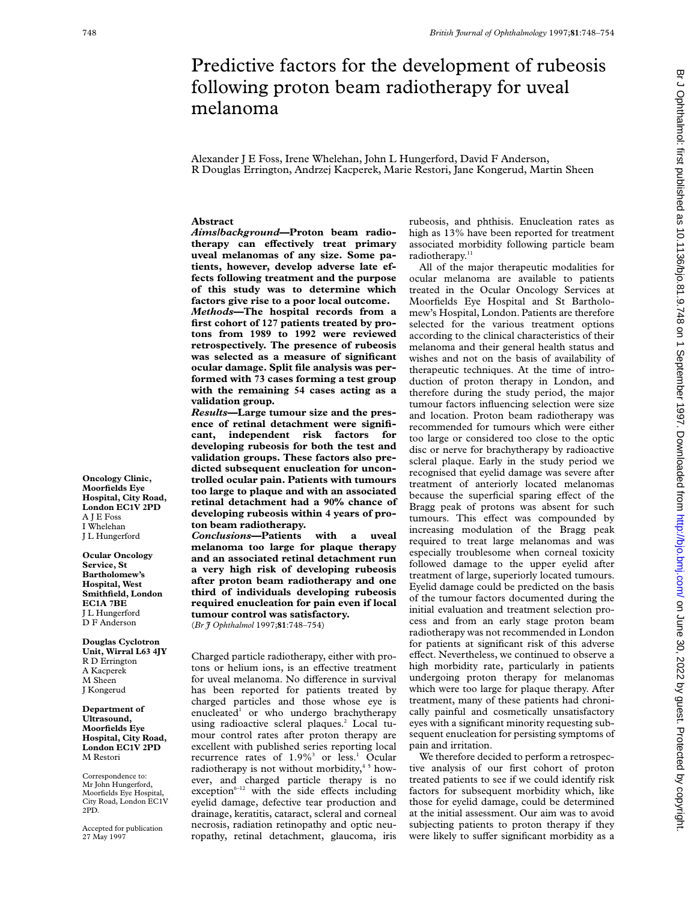# Predictive factors for the development of rubeosis following proton beam radiotherapy for uveal melanoma

Alexander J E Foss, Irene Whelehan, John L Hungerford, David F Anderson, R Douglas Errington, Andrzej Kacperek, Marie Restori, Jane Kongerud, Martin Sheen

#### **Abstract**

*Aims/background***—Proton beam radiotherapy** can effectively treat primary **uveal melanomas of any size. Some patients, however, develop adverse late effects following treatment and the purpose of this study was to determine which factors give rise to a poor local outcome.** *Methods***—The hospital records from a first cohort of 127 patients treated by pro-**

**tons from 1989 to 1992 were reviewed retrospectively. The presence of rubeosis was selected as a measure of significant ocular damage. Split file analysis was performed with 73 cases forming a test group with the remaining 54 cases acting as a validation group.**

*Results***—Large tumour size and the presence of retinal detachment were significant, independent risk factors for developing rubeosis for both the test and validation groups. These factors also predicted subsequent enucleation for uncontrolled ocular pain. Patients with tumours too large to plaque and with an associated retinal detachment had a 90% chance of developing rubeosis within 4 years of proton beam radiotherapy.**

*Conclusions***—Patients with a uveal melanoma too large for plaque therapy and an associated retinal detachment run a very high risk of developing rubeosis after proton beam radiotherapy and one third of individuals developing rubeosis required enucleation for pain even if local tumour control was satisfactory.**

(*Br J Ophthalmol* 1997;**81**:748–754)

Charged particle radiotherapy, either with protons or helium ions, is an effective treatment for uveal melanoma. No difference in survival has been reported for patients treated by charged particles and those whose eye is enucleated<sup>1</sup> or who undergo brachytherapy using radioactive scleral plaques.<sup>2</sup> Local tumour control rates after proton therapy are excellent with published series reporting local recurrence rates of 1.9%<sup>3</sup> or less.<sup>1</sup> Ocular radiotherapy is not without morbidity,<sup>45</sup> however, and charged particle therapy is no  $exception<sup>6-12</sup>$  with the side effects including eyelid damage, defective tear production and drainage, keratitis, cataract, scleral and corneal necrosis, radiation retinopathy and optic neuropathy, retinal detachment, glaucoma, iris

rubeosis, and phthisis. Enucleation rates as high as 13% have been reported for treatment associated morbidity following particle beam radiotherapy.<sup>11</sup>

All of the major therapeutic modalities for ocular melanoma are available to patients treated in the Ocular Oncology Services at Moorfields Eye Hospital and St Bartholomew's Hospital, London. Patients are therefore selected for the various treatment options according to the clinical characteristics of their melanoma and their general health status and wishes and not on the basis of availability of therapeutic techniques. At the time of introduction of proton therapy in London, and therefore during the study period, the major tumour factors influencing selection were size and location. Proton beam radiotherapy was recommended for tumours which were either too large or considered too close to the optic disc or nerve for brachytherapy by radioactive scleral plaque. Early in the study period we recognised that eyelid damage was severe after treatment of anteriorly located melanomas because the superficial sparing effect of the Bragg peak of protons was absent for such tumours. This effect was compounded by increasing modulation of the Bragg peak required to treat large melanomas and was especially troublesome when corneal toxicity followed damage to the upper eyelid after treatment of large, superiorly located tumours. Eyelid damage could be predicted on the basis of the tumour factors documented during the initial evaluation and treatment selection process and from an early stage proton beam radiotherapy was not recommended in London for patients at significant risk of this adverse effect. Nevertheless, we continued to observe a high morbidity rate, particularly in patients undergoing proton therapy for melanomas which were too large for plaque therapy. After treatment, many of these patients had chronically painful and cosmetically unsatisfactory eyes with a significant minority requesting subsequent enucleation for persisting symptoms of pain and irritation.

We therefore decided to perform a retrospective analysis of our first cohort of proton treated patients to see if we could identify risk factors for subsequent morbidity which, like those for eyelid damage, could be determined at the initial assessment. Our aim was to avoid subjecting patients to proton therapy if they were likely to suffer significant morbidity as a

br Jon June 1: 1136/bjo.81. Protected by copyright. <http://bjo.bmj.com/> Br J Ophthalmon 1997. Downloaded from 1 September 10.021.9.748 on 1 September 1997. Downloaded from 1997. Downloaded from 1997. Downloaded from 1997.

**Oncology Clinic, Moorfields Eye Hospital, City Road, London EC1V 2PD** A J E Foss I Whelehan J L Hungerford

**Ocular Oncology Service, St Bartholomew's Hospital, West Smithfield, London EC1A 7BE** J L Hungerford D F Anderson

**Douglas Cyclotron Unit, Wirral L63 4JY** R D Errington A Kacperek M Sheen J Kongerud

#### **Department of Ultrasound, Moorfields Eye Hospital, City Road, London EC1V 2PD** M Restori

Correspondence to: Mr John Hungerford, Moorfields Eye Hospital, City Road, London EC1V 2PD.

Accepted for publication 27 May 1997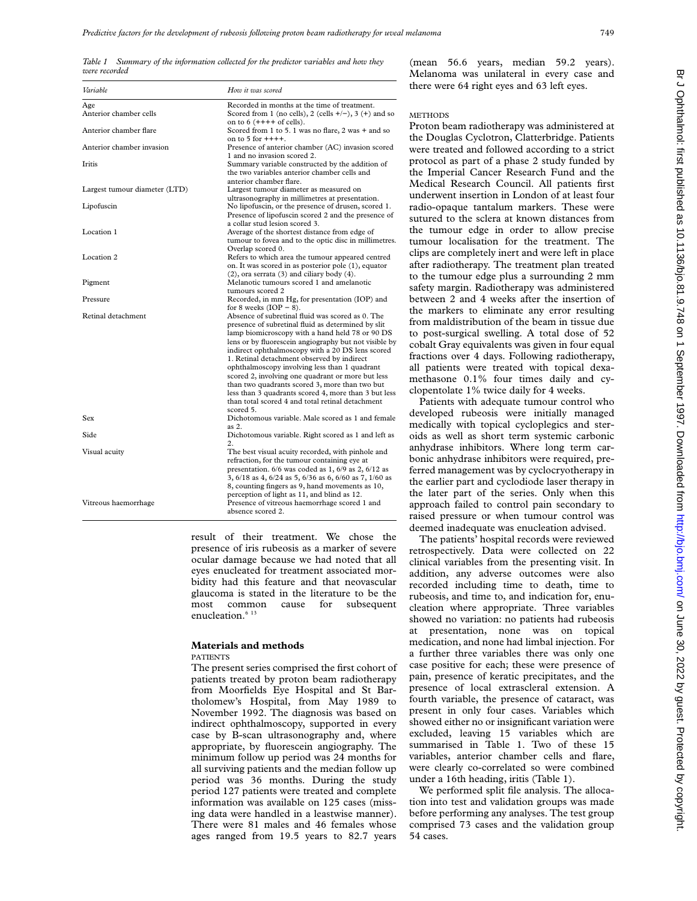*Table 1 Summary of the information collected for the predictor variables and how they were recorded*

| Variable                      | How it was scored                                                                                                                                                                                                                                                                                                                                                                                                                                                                                                                                                                                     |
|-------------------------------|-------------------------------------------------------------------------------------------------------------------------------------------------------------------------------------------------------------------------------------------------------------------------------------------------------------------------------------------------------------------------------------------------------------------------------------------------------------------------------------------------------------------------------------------------------------------------------------------------------|
| Age<br>Anterior chamber cells | Recorded in months at the time of treatment.<br>Scored from 1 (no cells), 2 (cells $+/-$ ), 3 (+) and so                                                                                                                                                                                                                                                                                                                                                                                                                                                                                              |
| Anterior chamber flare        | on to $6$ $(++++$ of cells).<br>Scored from 1 to 5.1 was no flare, 2 was + and so<br>on to $5$ for $+++$ .                                                                                                                                                                                                                                                                                                                                                                                                                                                                                            |
| Anterior chamber invasion     | Presence of anterior chamber (AC) invasion scored<br>1 and no invasion scored 2.                                                                                                                                                                                                                                                                                                                                                                                                                                                                                                                      |
| <b>Iritis</b>                 | Summary variable constructed by the addition of<br>the two variables anterior chamber cells and<br>anterior chamber flare.                                                                                                                                                                                                                                                                                                                                                                                                                                                                            |
| Largest tumour diameter (LTD) | Largest tumour diameter as measured on<br>ultrasonography in millimetres at presentation.                                                                                                                                                                                                                                                                                                                                                                                                                                                                                                             |
| Lipofuscin                    | No lipofuscin, or the presence of drusen, scored 1.<br>Presence of lipofuscin scored 2 and the presence of<br>a collar stud lesion scored 3.                                                                                                                                                                                                                                                                                                                                                                                                                                                          |
| Location 1                    | Average of the shortest distance from edge of<br>tumour to fovea and to the optic disc in millimetres.<br>Overlap scored 0.                                                                                                                                                                                                                                                                                                                                                                                                                                                                           |
| Location 2                    | Refers to which area the tumour appeared centred<br>on. It was scored in as posterior pole (1), equator<br>$(2)$ , ora serrata $(3)$ and ciliary body $(4)$ .                                                                                                                                                                                                                                                                                                                                                                                                                                         |
| Pigment                       | Melanotic tumours scored 1 and amelanotic<br>tumours scored 2                                                                                                                                                                                                                                                                                                                                                                                                                                                                                                                                         |
| Pressure                      | Recorded, in mm Hg, for presentation (IOP) and<br>for 8 weeks $(IOP - 8)$ .                                                                                                                                                                                                                                                                                                                                                                                                                                                                                                                           |
| Retinal detachment            | Absence of subretinal fluid was scored as 0. The<br>presence of subretinal fluid as determined by slit<br>lamp biomicroscopy with a hand held 78 or 90 DS<br>lens or by fluorescein angiography but not visible by<br>indirect ophthalmoscopy with a 20 DS lens scored<br>1. Retinal detachment observed by indirect<br>ophthalmoscopy involving less than 1 quadrant<br>scored 2, involving one quadrant or more but less<br>than two quadrants scored 3, more than two but<br>less than 3 quadrants scored 4, more than 3 but less<br>than total scored 4 and total retinal detachment<br>scored 5. |
| Sex                           | Dichotomous variable. Male scored as 1 and female<br>as 2.                                                                                                                                                                                                                                                                                                                                                                                                                                                                                                                                            |
| Side                          | Dichotomous variable. Right scored as 1 and left as<br>2.                                                                                                                                                                                                                                                                                                                                                                                                                                                                                                                                             |
| Visual acuity                 | The best visual acuity recorded, with pinhole and<br>refraction, for the tumour containing eye at<br>presentation. 6/6 was coded as 1, 6/9 as 2, 6/12 as<br>3, 6/18 as 4, 6/24 as 5, 6/36 as 6, 6/60 as 7, 1/60 as<br>8, counting fingers as 9, hand movements as 10,                                                                                                                                                                                                                                                                                                                                 |
| Vitreous haemorrhage          | perception of light as 11, and blind as 12.<br>Presence of vitreous haemorrhage scored 1 and<br>absence scored 2.                                                                                                                                                                                                                                                                                                                                                                                                                                                                                     |

result of their treatment. We chose the presence of iris rubeosis as a marker of severe ocular damage because we had noted that all eyes enucleated for treatment associated morbidity had this feature and that neovascular glaucoma is stated in the literature to be the most common cause for subsequent enucleation.<sup>6</sup><sup>13</sup>

# **Materials and methods**

#### PATIENTS

The present series comprised the first cohort of patients treated by proton beam radiotherapy from Moorfields Eye Hospital and St Bartholomew's Hospital, from May 1989 to November 1992. The diagnosis was based on indirect ophthalmoscopy, supported in every case by B-scan ultrasonography and, where appropriate, by fluorescein angiography. The minimum follow up period was 24 months for all surviving patients and the median follow up period was 36 months. During the study period 127 patients were treated and complete information was available on 125 cases (missing data were handled in a leastwise manner). There were 81 males and 46 females whose ages ranged from 19.5 years to 82.7 years

(mean 56.6 years, median 59.2 years). Melanoma was unilateral in every case and there were 64 right eyes and 63 left eyes.

# **METHODS**

Proton beam radiotherapy was administered at the Douglas Cyclotron, Clatterbridge. Patients were treated and followed according to a strict protocol as part of a phase 2 study funded by the Imperial Cancer Research Fund and the Medical Research Council. All patients first underwent insertion in London of at least four radio-opaque tantalum markers. These were sutured to the sclera at known distances from the tumour edge in order to allow precise tumour localisation for the treatment. The clips are completely inert and were left in place after radiotherapy. The treatment plan treated to the tumour edge plus a surrounding 2 mm safety margin. Radiotherapy was administered between 2 and 4 weeks after the insertion of the markers to eliminate any error resulting from maldistribution of the beam in tissue due to post-surgical swelling. A total dose of 52 cobalt Gray equivalents was given in four equal fractions over 4 days. Following radiotherapy, all patients were treated with topical dexamethasone 0.1% four times daily and cyclopentolate 1% twice daily for 4 weeks.

Patients with adequate tumour control who developed rubeosis were initially managed medically with topical cycloplegics and steroids as well as short term systemic carbonic anhydrase inhibitors. Where long term carbonic anhydrase inhibitors were required, preferred management was by cyclocryotherapy in the earlier part and cyclodiode laser therapy in the later part of the series. Only when this approach failed to control pain secondary to raised pressure or when tumour control was deemed inadequate was enucleation advised.

The patients' hospital records were reviewed retrospectively. Data were collected on 22 clinical variables from the presenting visit. In addition, any adverse outcomes were also recorded including time to death, time to rubeosis, and time to, and indication for, enucleation where appropriate. Three variables showed no variation: no patients had rubeosis at presentation, none was on topical medication, and none had limbal injection. For a further three variables there was only one case positive for each; these were presence of pain, presence of keratic precipitates, and the presence of local extrascleral extension. A fourth variable, the presence of cataract, was present in only four cases. Variables which showed either no or insignificant variation were excluded, leaving 15 variables which are summarised in Table 1. Two of these 15 variables, anterior chamber cells and flare, were clearly co-correlated so were combined under a 16th heading, iritis (Table 1).

We performed split file analysis. The allocation into test and validation groups was made before performing any analyses. The test group comprised 73 cases and the validation group 54 cases.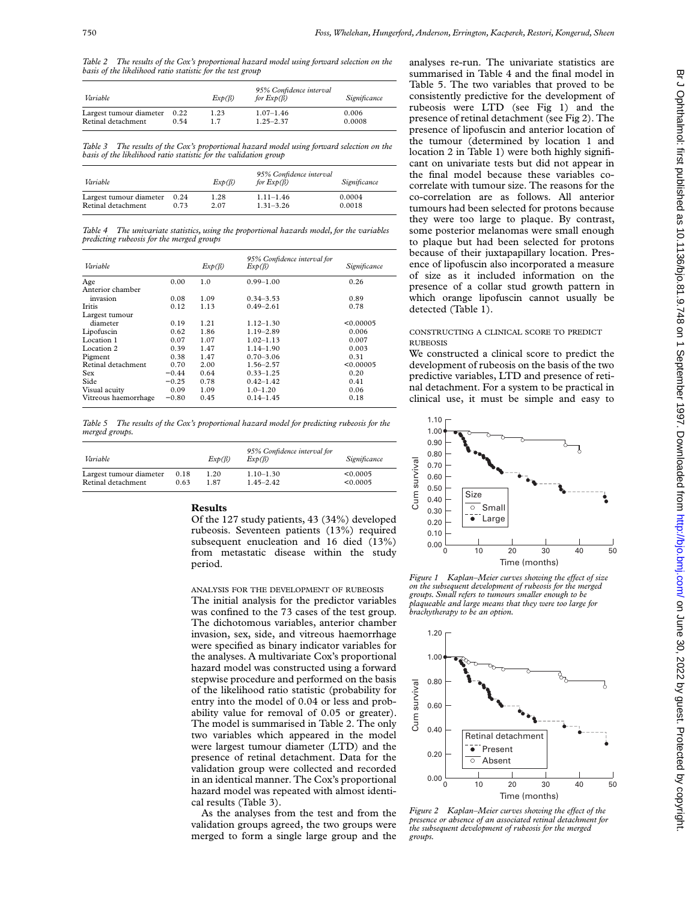*Table 2 The results of the Cox's proportional hazard model using forward selection on the basis of the likelihood ratio statistic for the test group*

| Variable                |      | $Exp(\beta)$ | 95% Confidence interval<br>for $Exp(\beta)$ | Significance |
|-------------------------|------|--------------|---------------------------------------------|--------------|
| Largest tumour diameter | 0.22 | 1.23         | $1.07 - 1.46$                               | 0.006        |
| Retinal detachment      | 0.54 | 17           | $1.25 - 2.37$                               | 0.0008       |

*Table 3 The results of the Cox's proportional hazard model using forward selection on the basis of the likelihood ratio statistic for the validation group*

| Variable                |      | $Exp(\beta)$ | 95% Confidence interval<br>for $Exp(\beta)$ | Significance |
|-------------------------|------|--------------|---------------------------------------------|--------------|
| Largest tumour diameter | 0.24 | 1.28         | $1.11 - 1.46$                               | 0.0004       |
| Retinal detachment      | 0.73 | 2.07         | $1.31 - 3.26$                               | 0.0018       |

*Table 4 The univariate statistics, using the proportional hazards model, for the variables predicting rubeosis for the merged groups*

| Variable             |         | $Exp(\beta)$ | 95% Confidence interval for<br>$Exp(\beta)$ | Significance |
|----------------------|---------|--------------|---------------------------------------------|--------------|
| Age                  | 0.00    | 1.0          | $0.99 - 1.00$                               | 0.26         |
| Anterior chamber     |         |              |                                             |              |
| invasion             | 0.08    | 1.09         | $0.34 - 3.53$                               | 0.89         |
| <b>Iritis</b>        | 0.12    | 1.13         | $0.49 - 2.61$                               | 0.78         |
| Largest tumour       |         |              |                                             |              |
| diameter             | 0.19    | 1.21         | $1.12 - 1.30$                               | < 0.00005    |
| Lipofuscin           | 0.62    | 1.86         | $1.19 - 2.89$                               | 0.006        |
| Location 1           | 0.07    | 1.07         | $1.02 - 1.13$                               | 0.007        |
| Location 2           | 0.39    | 1.47         | $1.14 - 1.90$                               | 0.003        |
| Pigment              | 0.38    | 1.47         | $0.70 - 3.06$                               | 0.31         |
| Retinal detachment   | 0.70    | 2.00         | $1.56 - 2.57$                               | < 0.00005    |
| Sex                  | $-0.44$ | 0.64         | $0.33 - 1.25$                               | 0.20         |
| Side                 | $-0.25$ | 0.78         | $0.42 - 1.42$                               | 0.41         |
| Visual acuity        | 0.09    | 1.09         | $1.0 - 1.20$                                | 0.06         |
| Vitreous haemorrhage | $-0.80$ | 0.45         | $0.14 - 1.45$                               | 0.18         |

*Table 5 The results of the Cox's proportional hazard model for predicting rubeosis for the merged groups.*

| Variable                |      | $Exp(\beta)$ | 95% Confidence interval for<br>Exp(B) | Significance |
|-------------------------|------|--------------|---------------------------------------|--------------|
| Largest tumour diameter | 0.18 | 1.20         | $1.10 - 1.30$                         | < 0.0005     |
| Retinal detachment      | 0.63 | 187          | $1.45 - 2.42$                         | < 0.0005     |

## **Results**

Of the 127 study patients, 43 (34%) developed rubeosis. Seventeen patients (13%) required subsequent enucleation and 16 died (13%) from metastatic disease within the study period.

ANALYSIS FOR THE DEVELOPMENT OF RUBEOSIS The initial analysis for the predictor variables was confined to the 73 cases of the test group. The dichotomous variables, anterior chamber invasion, sex, side, and vitreous haemorrhage were specified as binary indicator variables for the analyses. A multivariate Cox's proportional hazard model was constructed using a forward stepwise procedure and performed on the basis of the likelihood ratio statistic (probability for entry into the model of 0.04 or less and probability value for removal of 0.05 or greater). The model is summarised in Table 2. The only two variables which appeared in the model were largest tumour diameter (LTD) and the presence of retinal detachment. Data for the validation group were collected and recorded in an identical manner. The Cox's proportional hazard model was repeated with almost identical results (Table 3).

As the analyses from the test and from the validation groups agreed, the two groups were merged to form a single large group and the analyses re-run. The univariate statistics are summarised in Table 4 and the final model in Table 5. The two variables that proved to be consistently predictive for the development of rubeosis were LTD (see Fig 1) and the presence of retinal detachment (see Fig 2). The presence of lipofuscin and anterior location of the tumour (determined by location 1 and location 2 in Table 1) were both highly significant on univariate tests but did not appear in the final model because these variables cocorrelate with tumour size. The reasons for the co-correlation are as follows. All anterior tumours had been selected for protons because they were too large to plaque. By contrast, some posterior melanomas were small enough to plaque but had been selected for protons because of their juxtapapillary location. Presence of lipofuscin also incorporated a measure of size as it included information on the presence of a collar stud growth pattern in which orange lipofuscin cannot usually be detected (Table 1).

## CONSTRUCTING A CLINICAL SCORE TO PREDICT **RUBEOSIS**

We constructed a clinical score to predict the development of rubeosis on the basis of the two predictive variables, LTD and presence of retinal detachment. For a system to be practical in clinical use, it must be simple and easy to



*Figure 1* Kaplan–Meier curves showing the effect of size *on the subsequent development of rubeosis for the merged groups. Small refers to tumours smaller enough to be plaqueable and large means that they were too large for brachytherapy to be an option.*



*Figure 2 Kaplan–Meier curves showing the effect of the presence or absence of an associated retinal detachment for the subsequent development of rubeosis for the merged groups.*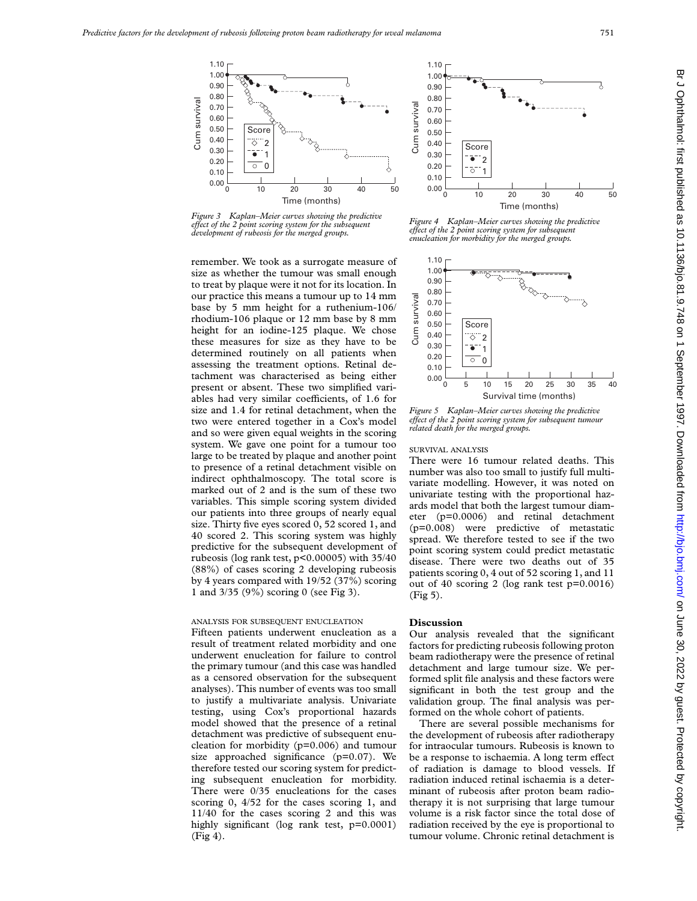

*Figure 3 Kaplan–Meier curves showing the predictive eVect of the 2 point scoring system for the subsequent development of rubeosis for the merged groups.*

remember. We took as a surrogate measure of size as whether the tumour was small enough to treat by plaque were it not for its location. In our practice this means a tumour up to 14 mm base by 5 mm height for a ruthenium-106/ rhodium-106 plaque or 12 mm base by 8 mm height for an iodine-125 plaque. We chose these measures for size as they have to be determined routinely on all patients when assessing the treatment options. Retinal detachment was characterised as being either present or absent. These two simplified variables had very similar coefficients, of 1.6 for size and 1.4 for retinal detachment, when the two were entered together in a Cox's model and so were given equal weights in the scoring system. We gave one point for a tumour too large to be treated by plaque and another point to presence of a retinal detachment visible on indirect ophthalmoscopy. The total score is marked out of 2 and is the sum of these two variables. This simple scoring system divided our patients into three groups of nearly equal size. Thirty five eyes scored 0, 52 scored 1, and 40 scored 2. This scoring system was highly predictive for the subsequent development of rubeosis (log rank test, p<0.00005) with 35/40 (88%) of cases scoring 2 developing rubeosis by 4 years compared with 19/52 (37%) scoring 1 and 3/35 (9%) scoring 0 (see Fig 3).

# ANALYSIS FOR SUBSEQUENT ENUCLEATION

Fifteen patients underwent enucleation as a result of treatment related morbidity and one underwent enucleation for failure to control the primary tumour (and this case was handled as a censored observation for the subsequent analyses). This number of events was too small to justify a multivariate analysis. Univariate testing, using Cox's proportional hazards model showed that the presence of a retinal detachment was predictive of subsequent enucleation for morbidity (p=0.006) and tumour size approached significance (p=0.07). We therefore tested our scoring system for predicting subsequent enucleation for morbidity. There were 0/35 enucleations for the cases scoring 0, 4/52 for the cases scoring 1, and 11/40 for the cases scoring 2 and this was highly significant (log rank test, p=0.0001) (Fig 4).



*Figure 4 Kaplan–Meier curves showing the predictive eVect of the 2 point scoring system for subsequent enucleation for morbidity for the merged groups.*



*Figure 5 Kaplan–Meier curves showing the predictive eVect of the 2 point scoring system for subsequent tumour related death for the merged groups.*

#### SURVIVAL ANALYSIS

There were 16 tumour related deaths. This number was also too small to justify full multivariate modelling. However, it was noted on univariate testing with the proportional hazards model that both the largest tumour diameter (p=0.0006) and retinal detachment (p=0.008) were predictive of metastatic spread. We therefore tested to see if the two point scoring system could predict metastatic disease. There were two deaths out of 35 patients scoring 0, 4 out of 52 scoring 1, and 11 out of 40 scoring 2 (log rank test p=0.0016) (Fig 5).

#### **Discussion**

Our analysis revealed that the significant factors for predicting rubeosis following proton beam radiotherapy were the presence of retinal detachment and large tumour size. We performed split file analysis and these factors were significant in both the test group and the validation group. The final analysis was performed on the whole cohort of patients.

There are several possible mechanisms for the development of rubeosis after radiotherapy for intraocular tumours. Rubeosis is known to be a response to ischaemia. A long term effect of radiation is damage to blood vessels. If radiation induced retinal ischaemia is a determinant of rubeosis after proton beam radiotherapy it is not surprising that large tumour volume is a risk factor since the total dose of radiation received by the eye is proportional to tumour volume. Chronic retinal detachment is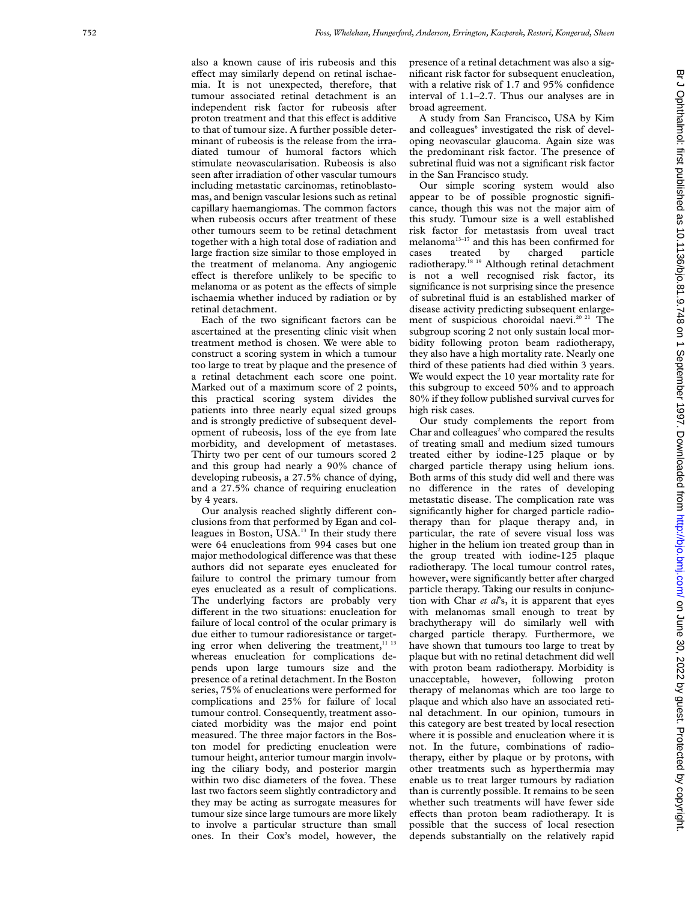also a known cause of iris rubeosis and this effect may similarly depend on retinal ischaemia. It is not unexpected, therefore, that tumour associated retinal detachment is an independent risk factor for rubeosis after proton treatment and that this effect is additive to that of tumour size. A further possible determinant of rubeosis is the release from the irradiated tumour of humoral factors which stimulate neovascularisation. Rubeosis is also seen after irradiation of other vascular tumours including metastatic carcinomas, retinoblastomas, and benign vascular lesions such as retinal capillary haemangiomas. The common factors when rubeosis occurs after treatment of these other tumours seem to be retinal detachment together with a high total dose of radiation and large fraction size similar to those employed in the treatment of melanoma. Any angiogenic effect is therefore unlikely to be specific to melanoma or as potent as the effects of simple ischaemia whether induced by radiation or by retinal detachment.

Each of the two significant factors can be ascertained at the presenting clinic visit when treatment method is chosen. We were able to construct a scoring system in which a tumour too large to treat by plaque and the presence of a retinal detachment each score one point. Marked out of a maximum score of 2 points, this practical scoring system divides the patients into three nearly equal sized groups and is strongly predictive of subsequent development of rubeosis, loss of the eye from late morbidity, and development of metastases. Thirty two per cent of our tumours scored 2 and this group had nearly a 90% chance of developing rubeosis, a 27.5% chance of dying, and a 27.5% chance of requiring enucleation by 4 years.

Our analysis reached slightly different conclusions from that performed by Egan and colleagues in Boston, USA.<sup>13</sup> In their study there were 64 enucleations from 994 cases but one major methodological difference was that these authors did not separate eyes enucleated for failure to control the primary tumour from eyes enucleated as a result of complications. The underlying factors are probably very different in the two situations: enucleation for failure of local control of the ocular primary is due either to tumour radioresistance or targeting error when delivering the treatment,<sup>11 13</sup> whereas enucleation for complications depends upon large tumours size and the presence of a retinal detachment. In the Boston series, 75% of enucleations were performed for complications and 25% for failure of local tumour control. Consequently, treatment associated morbidity was the major end point measured. The three major factors in the Boston model for predicting enucleation were tumour height, anterior tumour margin involving the ciliary body, and posterior margin within two disc diameters of the fovea. These last two factors seem slightly contradictory and they may be acting as surrogate measures for tumour size since large tumours are more likely to involve a particular structure than small ones. In their Cox's model, however, the

presence of a retinal detachment was also a significant risk factor for subsequent enucleation, with a relative risk of 1.7 and 95% confidence interval of 1.1–2.7. Thus our analyses are in broad agreement.

A study from San Francisco, USA by Kim and colleagues <sup>6</sup> investigated the risk of developing neovascular glaucoma. Again size was the predominant risk factor. The presence of subretinal fluid was not a significant risk factor in the San Francisco study.

Our simple scoring system would also appear to be of possible prognostic significance, though this was not the major aim of this study. Tumour size is a well established risk factor for metastasis from uveal tract melanoma<sup>13-17</sup> and this has been confirmed for cases treated by charged particle radiotherapy.<sup>18 19</sup> Although retinal detachment is not a well recognised risk factor, its significance is not surprising since the presence of subretinal fluid is an established marker of disease activity predicting subsequent enlargement of suspicious choroidal naevi.<sup>20 21</sup> The subgroup scoring 2 not only sustain local morbidity following proton beam radiotherapy, they also have a high mortality rate. Nearly one third of these patients had died within 3 years. We would expect the 10 year mortality rate for this subgroup to exceed 50% and to approach 80% if they follow published survival curves for high risk cases.

Our study complements the report from Char and colleagues <sup>2</sup> who compared the results of treating small and medium sized tumours treated either by iodine-125 plaque or by charged particle therapy using helium ions. Both arms of this study did well and there was no di Verence in the rates of developing metastatic disease. The complication rate was significantly higher for charged particle radiotherapy than for plaque therapy and, in particular, the rate of severe visual loss was higher in the helium ion treated group than in the group treated with iodine-125 plaque radiotherapy. The local tumour control rates, however, were significantly better after charged particle therapy. Taking our results in conjunction with Char *et al*'s, it is apparent that eyes with melanomas small enough to treat by brachytherapy will do similarly well with charged particle therapy. Furthermore, we have shown that tumours too large to treat by plaque but with no retinal detachment did well with proton beam radiotherapy. Morbidity is unacceptable, however, following proton therapy of melanomas which are too large to plaque and which also have an associated retinal detachment. In our opinion, tumours in this category are best treated by local resection where it is possible and enucleation where it is not. In the future, combinations of radiotherapy, either by plaque or by protons, with other treatments such as hyperthermia may enable us to treat larger tumours by radiation than is currently possible. It remains to be seen whether such treatments will have fewer side effects than proton beam radiotherapy. It is possible that the success of local resection depends substantially on the relatively rapid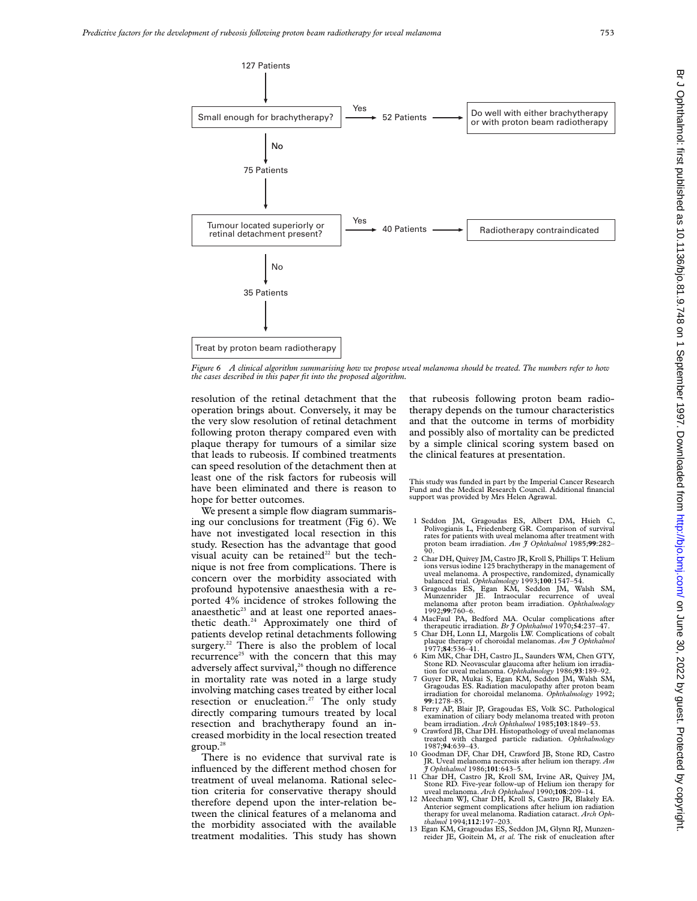

*Figure 6 A clinical algorithm summarising how we propose uveal melanoma should be treated. The numbers refer to how the cases described in this paper fit into the proposed algorithm.*

resolution of the retinal detachment that the operation brings about. Conversely, it may be the very slow resolution of retinal detachment following proton therapy compared even with plaque therapy for tumours of a similar size that leads to rubeosis. If combined treatments can speed resolution of the detachment then at least one of the risk factors for rubeosis will have been eliminated and there is reason to hope for better outcomes.

We present a simple flow diagram summarising our conclusions for treatment (Fig 6). We have not investigated local resection in this study. Resection has the advantage that good visual acuity can be retained<sup>22</sup> but the technique is not free from complications. There is concern over the morbidity associated with profound hypotensive anaesthesia with a reported 4% incidence of strokes following the anaesthetic<sup>23</sup> and at least one reported anaesthetic death.<sup>24</sup> Approximately one third of patients develop retinal detachments following surgery.<sup>22</sup> There is also the problem of local recurrence<sup>25</sup> with the concern that this may adversely affect survival,<sup>26</sup> though no difference in mortality rate was noted in a large study involving matching cases treated by either local resection or enucleation.<sup>27</sup> The only study directly comparing tumours treated by local resection and brachytherapy found an increased morbidity in the local resection treated  $group.^{28}$ 

There is no evidence that survival rate is influenced by the different method chosen for treatment of uveal melanoma. Rational selection criteria for conservative therapy should therefore depend upon the inter-relation between the clinical features of a melanoma and the morbidity associated with the available treatment modalities. This study has shown

that rubeosis following proton beam radiotherapy depends on the tumour characteristics and that the outcome in terms of morbidity and possibly also of mortality can be predicted by a simple clinical scoring system based on the clinical features at presentation.

This study was funded in part by the Imperial Cancer Research Fund and the Medical Research Council. Additional financial support was provided by Mrs Helen Agrawal.

- 1 Seddon JM, Gragoudas ES, Albert DM, Hsieh C, Polivogianis L, Friedenberg GR. Comparison of survival rates for patients with uveal melanoma after treatment with proton beam irradiation. *Am J Ophthalmol* 1985;**99**:282– 90.
- 2 Char DH, Quivey JM, Castro JR, Kroll S, Phillips T. Helium ions versus iodine 125 brachytherapy in the management of uveal melanoma. A prospective, randomized, dynamically
- balanced trial. *Ophthalmology* 1993;**100**:1547–54.<br>3 Gragoudas ES, Egan KM, Seddon JM, Walsh SM,<br>Munzenrider JE. Intraocular recurrence of uveal<br>melanoma after proton beam irradiation. *Ophthalmology* 1992;**99**:760–6.
- 4 MacFaul PA, Bedford MA. Ocular complications after
- therapeutic irradiation. *Br J Ophthalmol* 1970;**54**:237–47. 5 Char DH, Lonn LI, Margolis LW. Complications of cobalt plaque therapy of choroidal melanomas. *Am J Ophthalmol* 1977;**84**:536–41.
- 6 Kim MK, Char DH, Castro JL, Saunders WM, Chen GTY, Stone RD. Neovascular glaucoma after helium ion irradiation for uveal melanoma. *Ophthalmology* 1986;**93**:189–92.
- 7 Guyer DR, Mukai S, Egan KM, Seddon JM, Walsh SM, Gragoudas ES. Radiation maculopathy after proton beam irradiation for choroidal melanoma. *Ophthalmology* 1992; **99**:1278–85.
- 8 Ferry AP, Blair JP, Gragoudas ES, Volk SC. Pathological examination of ciliary body melanoma treated with proton beam irradiation. *Arch Ophthalmol* 1985;**103**:1849–53.
- 9 Crawford JB, Char DH. Histopathology of uveal melanomas treated with charged particle radiation. *Ophthalmology* 1987;**94**:639–43.
- 10 Goodman DF, Char DH, Crawford JB, Stone RD, Castro JR. Uveal melanoma necrosis after helium ion therapy. *Am J Ophthalmol* 1986;**101**:643–5.
- 11 Char DH, Castro JR, Kroll SM, Irvine AR, Quivey JM, Stone RD. Five-year follow-up of Helium ion therapy for uveal melanoma. *Arch Ophthalmol* 1990;**108**:209–14.
- 12 Meecham WJ, Char DH, Kroll S, Castro JR, Blakely EA. Anterior segment complications after helium ion radiation therapy for uveal melanoma. Radiation cataract. *Arch Ophthalmol* 1994;**112**:197–203.
- 13 Egan KM, Gragoudas ES, Seddon JM, Glynn RJ, Munzenreider JE, Goitein M, *et al.* The risk of enucleation after